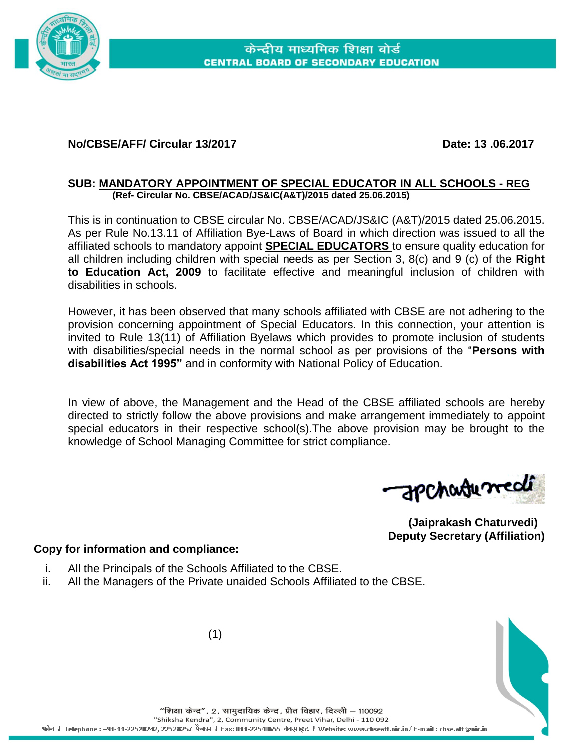

## **No/CBSE/AFF/ Circular 13/2017 Date: 13 .06.2017**

## **SUB: MANDATORY APPOINTMENT OF SPECIAL EDUCATOR IN ALL SCHOOLS - REG (Ref- Circular No. CBSE/ACAD/JS&IC(A&T)/2015 dated 25.06.2015)**

This is in continuation to CBSE circular No. CBSE/ACAD/JS&IC (A&T)/2015 dated 25.06.2015. As per Rule No.13.11 of Affiliation Bye-Laws of Board in which direction was issued to all the affiliated schools to mandatory appoint **SPECIAL EDUCATORS** to ensure quality education for all children including children with special needs as per Section 3, 8(c) and 9 (c) of the **Right to Education Act, 2009** to facilitate effective and meaningful inclusion of children with disabilities in schools.

However, it has been observed that many schools affiliated with CBSE are not adhering to the provision concerning appointment of Special Educators. In this connection, your attention is invited to Rule 13(11) of Affiliation Byelaws which provides to promote inclusion of students with disabilities/special needs in the normal school as per provisions of the "**Persons with disabilities Act 1995"** and in conformity with National Policy of Education.

In view of above, the Management and the Head of the CBSE affiliated schools are hereby directed to strictly follow the above provisions and make arrangement immediately to appoint special educators in their respective school(s).The above provision may be brought to the knowledge of School Managing Committee for strict compliance.

apchadumedi

**(Jaiprakash Chaturvedi) Deputy Secretary (Affiliation)**

## **Copy for information and compliance:**

- i. All the Principals of the Schools Affiliated to the CBSE.
- ii. All the Managers of the Private unaided Schools Affiliated to the CBSE.